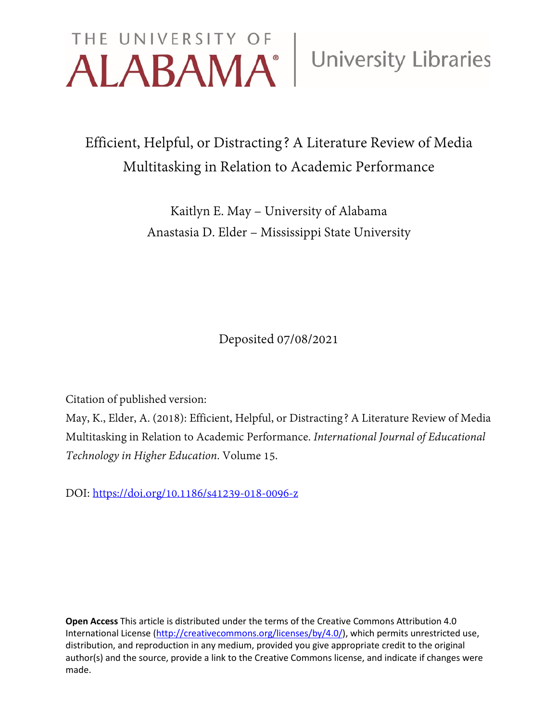

# Efficient, Helpful, or Distracting? A Literature Review of Media Multitasking in Relation to Academic Performance

Kaitlyn E. May – University of Alabama Anastasia D. Elder – Mississippi State University

Deposited 07/08/2021

Citation of published version:

May, K., Elder, A. (2018): Efficient, Helpful, or Distracting? A Literature Review of Media Multitasking in Relation to Academic Performance. *International Journal of Educational Technology in Higher Education*. Volume 15.

DOI: <https://doi.org/10.1186/s41239-018-0096-z>

**Open Access** This article is distributed under the terms of the Creative Commons Attribution 4.0 International License [\(http://creativecommons.org/licenses/by/4.0/\)](http://creativecommons.org/licenses/by/4.0/), which permits unrestricted use, distribution, and reproduction in any medium, provided you give appropriate credit to the original author(s) and the source, provide a link to the Creative Commons license, and indicate if changes were made.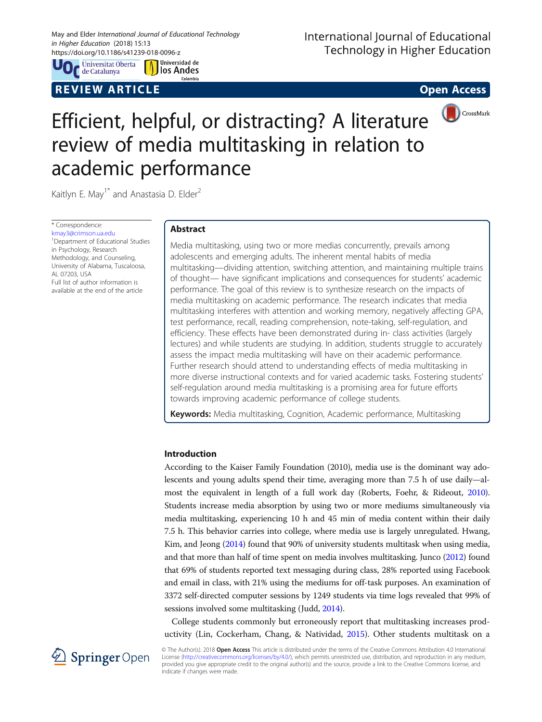May and Elder International Journal of Educational Technology in Higher Education (2018) 15:13 https://doi.org/10.1186/s41239-018-0096-z

| L | Universitat Oberta<br>de Catalunya |
|---|------------------------------------|

Universidad de Jlos Andes Colombia

# **REVIEW ARTICLE CONSUMING A REVIEW ARTICLE**



# Efficient, helpful, or distracting? A literature review of media multitasking in relation to academic performance

Kaitlyn E. May<sup>1\*</sup> and Anastasia D. Elder<sup>2</sup>

\* Correspondence: [kmay3@crimson.ua.edu](mailto:kmay3@crimson.ua.edu) <sup>1</sup> Department of Educational Studies in Psychology, Research Methodology, and Counseling, University of Alabama, Tuscaloosa, AL 07203, USA

Full list of author information is available at the end of the article

# Abstract

Media multitasking, using two or more medias concurrently, prevails among adolescents and emerging adults. The inherent mental habits of media multitasking—dividing attention, switching attention, and maintaining multiple trains of thought— have significant implications and consequences for students' academic performance. The goal of this review is to synthesize research on the impacts of media multitasking on academic performance. The research indicates that media multitasking interferes with attention and working memory, negatively affecting GPA, test performance, recall, reading comprehension, note-taking, self-regulation, and efficiency. These effects have been demonstrated during in- class activities (largely lectures) and while students are studying. In addition, students struggle to accurately assess the impact media multitasking will have on their academic performance. Further research should attend to understanding effects of media multitasking in more diverse instructional contexts and for varied academic tasks. Fostering students' self-regulation around media multitasking is a promising area for future efforts towards improving academic performance of college students.

Keywords: Media multitasking, Cognition, Academic performance, Multitasking

# Introduction

According to the Kaiser Family Foundation (2010), media use is the dominant way adolescents and young adults spend their time, averaging more than 7.5 h of use daily—almost the equivalent in length of a full work day (Roberts, Foehr, & Rideout, [2010](#page-16-0)). Students increase media absorption by using two or more mediums simultaneously via media multitasking, experiencing 10 h and 45 min of media content within their daily 7.5 h. This behavior carries into college, where media use is largely unregulated. Hwang, Kim, and Jeong ([2014\)](#page-16-0) found that 90% of university students multitask when using media, and that more than half of time spent on media involves multitasking. Junco [\(2012](#page-16-0)) found that 69% of students reported text messaging during class, 28% reported using Facebook and email in class, with 21% using the mediums for off-task purposes. An examination of 3372 self-directed computer sessions by 1249 students via time logs revealed that 99% of sessions involved some multitasking (Judd, [2014\)](#page-16-0).

College students commonly but erroneously report that multitasking increases productivity (Lin, Cockerham, Chang, & Natividad, [2015\)](#page-16-0). Other students multitask on a



© The Author(s). 2018 Open Access This article is distributed under the terms of the Creative Commons Attribution 4.0 International License [\(http://creativecommons.org/licenses/by/4.0/](http://creativecommons.org/licenses/by/4.0/)), which permits unrestricted use, distribution, and reproduction in any medium, provided you give appropriate credit to the original author(s) and the source, provide a link to the Creative Commons license, and indicate if changes were made.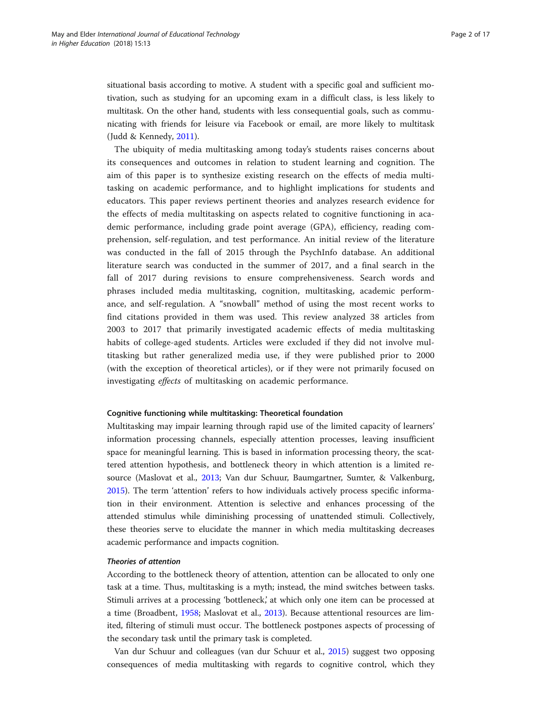situational basis according to motive. A student with a specific goal and sufficient motivation, such as studying for an upcoming exam in a difficult class, is less likely to multitask. On the other hand, students with less consequential goals, such as communicating with friends for leisure via Facebook or email, are more likely to multitask (Judd & Kennedy, [2011\)](#page-16-0).

The ubiquity of media multitasking among today's students raises concerns about its consequences and outcomes in relation to student learning and cognition. The aim of this paper is to synthesize existing research on the effects of media multitasking on academic performance, and to highlight implications for students and educators. This paper reviews pertinent theories and analyzes research evidence for the effects of media multitasking on aspects related to cognitive functioning in academic performance, including grade point average (GPA), efficiency, reading comprehension, self-regulation, and test performance. An initial review of the literature was conducted in the fall of 2015 through the PsychInfo database. An additional literature search was conducted in the summer of 2017, and a final search in the fall of 2017 during revisions to ensure comprehensiveness. Search words and phrases included media multitasking, cognition, multitasking, academic performance, and self-regulation. A "snowball" method of using the most recent works to find citations provided in them was used. This review analyzed 38 articles from 2003 to 2017 that primarily investigated academic effects of media multitasking habits of college-aged students. Articles were excluded if they did not involve multitasking but rather generalized media use, if they were published prior to 2000 (with the exception of theoretical articles), or if they were not primarily focused on investigating effects of multitasking on academic performance.

## Cognitive functioning while multitasking: Theoretical foundation

Multitasking may impair learning through rapid use of the limited capacity of learners' information processing channels, especially attention processes, leaving insufficient space for meaningful learning. This is based in information processing theory, the scattered attention hypothesis, and bottleneck theory in which attention is a limited resource (Maslovat et al., [2013](#page-16-0); Van dur Schuur, Baumgartner, Sumter, & Valkenburg, [2015](#page-16-0)). The term 'attention' refers to how individuals actively process specific information in their environment. Attention is selective and enhances processing of the attended stimulus while diminishing processing of unattended stimuli. Collectively, these theories serve to elucidate the manner in which media multitasking decreases academic performance and impacts cognition.

## Theories of attention

According to the bottleneck theory of attention, attention can be allocated to only one task at a time. Thus, multitasking is a myth; instead, the mind switches between tasks. Stimuli arrives at a processing 'bottleneck,' at which only one item can be processed at a time (Broadbent, [1958](#page-15-0); Maslovat et al., [2013](#page-16-0)). Because attentional resources are limited, filtering of stimuli must occur. The bottleneck postpones aspects of processing of the secondary task until the primary task is completed.

Van dur Schuur and colleagues (van dur Schuur et al., [2015](#page-16-0)) suggest two opposing consequences of media multitasking with regards to cognitive control, which they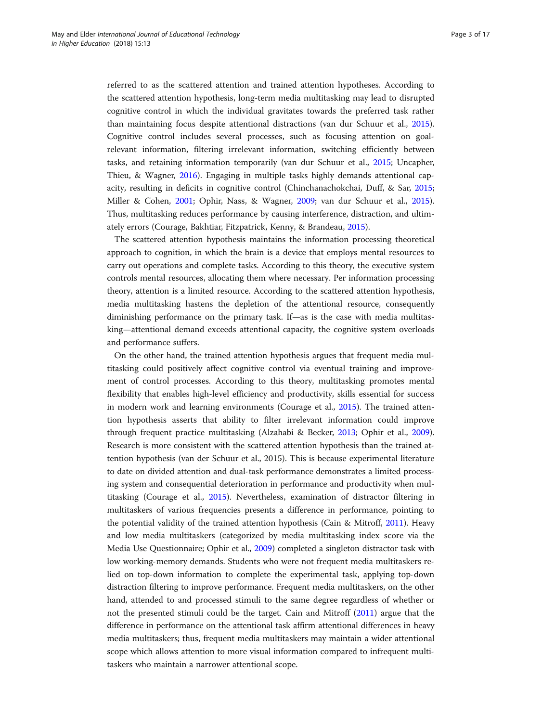referred to as the scattered attention and trained attention hypotheses. According to the scattered attention hypothesis, long-term media multitasking may lead to disrupted cognitive control in which the individual gravitates towards the preferred task rather than maintaining focus despite attentional distractions (van dur Schuur et al., [2015](#page-16-0)). Cognitive control includes several processes, such as focusing attention on goalrelevant information, filtering irrelevant information, switching efficiently between tasks, and retaining information temporarily (van dur Schuur et al., [2015;](#page-16-0) Uncapher, Thieu, & Wagner, [2016\)](#page-16-0). Engaging in multiple tasks highly demands attentional capacity, resulting in deficits in cognitive control (Chinchanachokchai, Duff, & Sar, [2015](#page-15-0); Miller & Cohen, [2001](#page-16-0); Ophir, Nass, & Wagner, [2009](#page-16-0); van dur Schuur et al., [2015](#page-16-0)). Thus, multitasking reduces performance by causing interference, distraction, and ultimately errors (Courage, Bakhtiar, Fitzpatrick, Kenny, & Brandeau, [2015\)](#page-15-0).

The scattered attention hypothesis maintains the information processing theoretical approach to cognition, in which the brain is a device that employs mental resources to carry out operations and complete tasks. According to this theory, the executive system controls mental resources, allocating them where necessary. Per information processing theory, attention is a limited resource. According to the scattered attention hypothesis, media multitasking hastens the depletion of the attentional resource, consequently diminishing performance on the primary task. If—as is the case with media multitasking—attentional demand exceeds attentional capacity, the cognitive system overloads and performance suffers.

On the other hand, the trained attention hypothesis argues that frequent media multitasking could positively affect cognitive control via eventual training and improvement of control processes. According to this theory, multitasking promotes mental flexibility that enables high-level efficiency and productivity, skills essential for success in modern work and learning environments (Courage et al., [2015\)](#page-15-0). The trained attention hypothesis asserts that ability to filter irrelevant information could improve through frequent practice multitasking (Alzahabi & Becker, [2013](#page-15-0); Ophir et al., [2009](#page-16-0)). Research is more consistent with the scattered attention hypothesis than the trained attention hypothesis (van der Schuur et al., 2015). This is because experimental literature to date on divided attention and dual-task performance demonstrates a limited processing system and consequential deterioration in performance and productivity when multitasking (Courage et al., [2015](#page-15-0)). Nevertheless, examination of distractor filtering in multitaskers of various frequencies presents a difference in performance, pointing to the potential validity of the trained attention hypothesis (Cain & Mitroff, [2011\)](#page-15-0). Heavy and low media multitaskers (categorized by media multitasking index score via the Media Use Questionnaire; Ophir et al., [2009](#page-16-0)) completed a singleton distractor task with low working-memory demands. Students who were not frequent media multitaskers relied on top-down information to complete the experimental task, applying top-down distraction filtering to improve performance. Frequent media multitaskers, on the other hand, attended to and processed stimuli to the same degree regardless of whether or not the presented stimuli could be the target. Cain and Mitroff ([2011](#page-15-0)) argue that the difference in performance on the attentional task affirm attentional differences in heavy media multitaskers; thus, frequent media multitaskers may maintain a wider attentional scope which allows attention to more visual information compared to infrequent multitaskers who maintain a narrower attentional scope.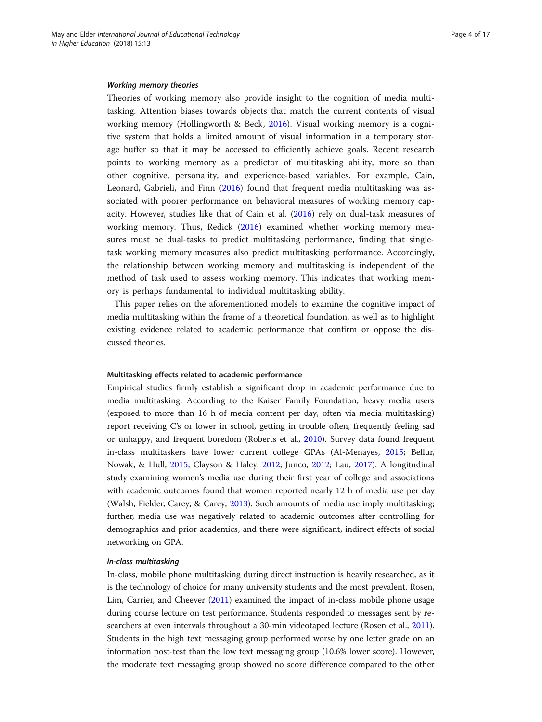### Working memory theories

Theories of working memory also provide insight to the cognition of media multitasking. Attention biases towards objects that match the current contents of visual working memory (Hollingworth & Beck, [2016\)](#page-16-0). Visual working memory is a cognitive system that holds a limited amount of visual information in a temporary storage buffer so that it may be accessed to efficiently achieve goals. Recent research points to working memory as a predictor of multitasking ability, more so than other cognitive, personality, and experience-based variables. For example, Cain, Leonard, Gabrieli, and Finn ([2016](#page-15-0)) found that frequent media multitasking was associated with poorer performance on behavioral measures of working memory capacity. However, studies like that of Cain et al. ([2016\)](#page-15-0) rely on dual-task measures of working memory. Thus, Redick ([2016\)](#page-16-0) examined whether working memory measures must be dual-tasks to predict multitasking performance, finding that singletask working memory measures also predict multitasking performance. Accordingly, the relationship between working memory and multitasking is independent of the method of task used to assess working memory. This indicates that working memory is perhaps fundamental to individual multitasking ability.

This paper relies on the aforementioned models to examine the cognitive impact of media multitasking within the frame of a theoretical foundation, as well as to highlight existing evidence related to academic performance that confirm or oppose the discussed theories.

#### Multitasking effects related to academic performance

Empirical studies firmly establish a significant drop in academic performance due to media multitasking. According to the Kaiser Family Foundation, heavy media users (exposed to more than 16 h of media content per day, often via media multitasking) report receiving C's or lower in school, getting in trouble often, frequently feeling sad or unhappy, and frequent boredom (Roberts et al., [2010\)](#page-16-0). Survey data found frequent in-class multitaskers have lower current college GPAs (Al-Menayes, [2015;](#page-15-0) Bellur, Nowak, & Hull, [2015;](#page-15-0) Clayson & Haley, [2012;](#page-15-0) Junco, [2012](#page-16-0); Lau, [2017](#page-16-0)). A longitudinal study examining women's media use during their first year of college and associations with academic outcomes found that women reported nearly 12 h of media use per day (Walsh, Fielder, Carey, & Carey, [2013](#page-17-0)). Such amounts of media use imply multitasking; further, media use was negatively related to academic outcomes after controlling for demographics and prior academics, and there were significant, indirect effects of social networking on GPA.

# In-class multitasking

In-class, mobile phone multitasking during direct instruction is heavily researched, as it is the technology of choice for many university students and the most prevalent. Rosen, Lim, Carrier, and Cheever [\(2011\)](#page-16-0) examined the impact of in-class mobile phone usage during course lecture on test performance. Students responded to messages sent by researchers at even intervals throughout a 30-min videotaped lecture (Rosen et al., [2011](#page-16-0)). Students in the high text messaging group performed worse by one letter grade on an information post-test than the low text messaging group (10.6% lower score). However, the moderate text messaging group showed no score difference compared to the other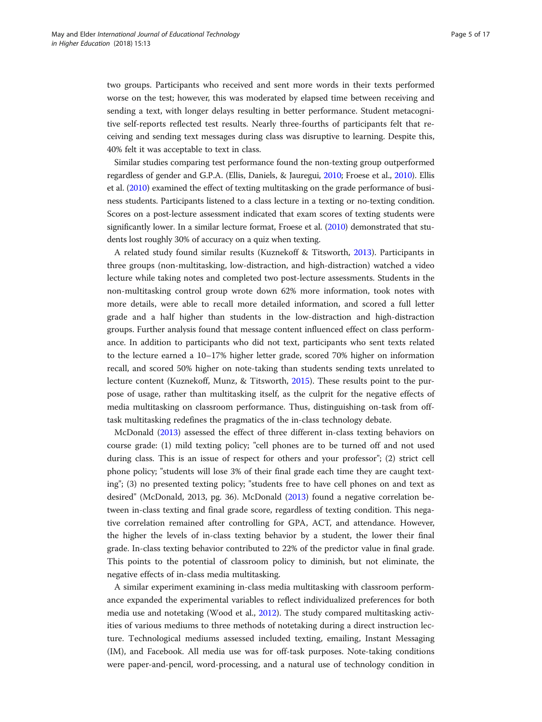two groups. Participants who received and sent more words in their texts performed worse on the test; however, this was moderated by elapsed time between receiving and sending a text, with longer delays resulting in better performance. Student metacognitive self-reports reflected test results. Nearly three-fourths of participants felt that receiving and sending text messages during class was disruptive to learning. Despite this, 40% felt it was acceptable to text in class.

Similar studies comparing test performance found the non-texting group outperformed regardless of gender and G.P.A. (Ellis, Daniels, & Jauregui, [2010](#page-15-0); Froese et al., [2010\)](#page-15-0). Ellis et al. [\(2010](#page-15-0)) examined the effect of texting multitasking on the grade performance of business students. Participants listened to a class lecture in a texting or no-texting condition. Scores on a post-lecture assessment indicated that exam scores of texting students were significantly lower. In a similar lecture format, Froese et al. [\(2010](#page-15-0)) demonstrated that students lost roughly 30% of accuracy on a quiz when texting.

A related study found similar results (Kuznekoff & Titsworth, [2013](#page-16-0)). Participants in three groups (non-multitasking, low-distraction, and high-distraction) watched a video lecture while taking notes and completed two post-lecture assessments. Students in the non-multitasking control group wrote down 62% more information, took notes with more details, were able to recall more detailed information, and scored a full letter grade and a half higher than students in the low-distraction and high-distraction groups. Further analysis found that message content influenced effect on class performance. In addition to participants who did not text, participants who sent texts related to the lecture earned a 10–17% higher letter grade, scored 70% higher on information recall, and scored 50% higher on note-taking than students sending texts unrelated to lecture content (Kuznekoff, Munz, & Titsworth, [2015](#page-16-0)). These results point to the purpose of usage, rather than multitasking itself, as the culprit for the negative effects of media multitasking on classroom performance. Thus, distinguishing on-task from offtask multitasking redefines the pragmatics of the in-class technology debate.

McDonald [\(2013\)](#page-16-0) assessed the effect of three different in-class texting behaviors on course grade: (1) mild texting policy; "cell phones are to be turned off and not used during class. This is an issue of respect for others and your professor"; (2) strict cell phone policy; "students will lose 3% of their final grade each time they are caught texting"; (3) no presented texting policy; "students free to have cell phones on and text as desired" (McDonald, 2013, pg. 36). McDonald ([2013](#page-16-0)) found a negative correlation between in-class texting and final grade score, regardless of texting condition. This negative correlation remained after controlling for GPA, ACT, and attendance. However, the higher the levels of in-class texting behavior by a student, the lower their final grade. In-class texting behavior contributed to 22% of the predictor value in final grade. This points to the potential of classroom policy to diminish, but not eliminate, the negative effects of in-class media multitasking.

A similar experiment examining in-class media multitasking with classroom performance expanded the experimental variables to reflect individualized preferences for both media use and notetaking (Wood et al., [2012\)](#page-17-0). The study compared multitasking activities of various mediums to three methods of notetaking during a direct instruction lecture. Technological mediums assessed included texting, emailing, Instant Messaging (IM), and Facebook. All media use was for off-task purposes. Note-taking conditions were paper-and-pencil, word-processing, and a natural use of technology condition in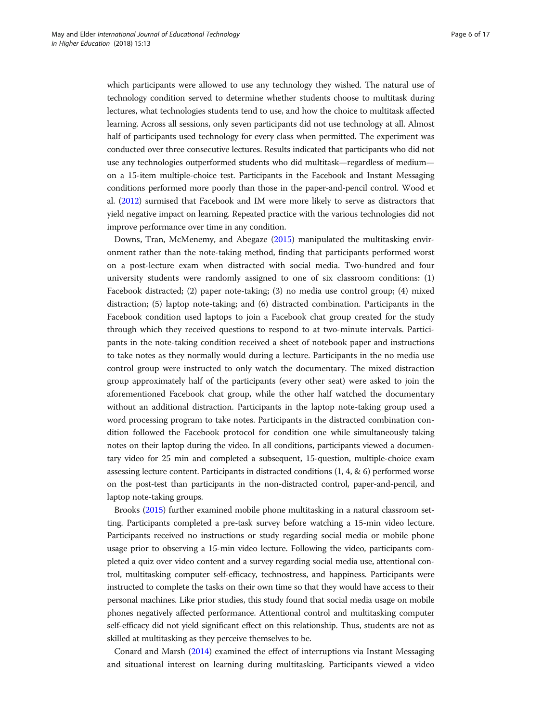which participants were allowed to use any technology they wished. The natural use of technology condition served to determine whether students choose to multitask during lectures, what technologies students tend to use, and how the choice to multitask affected learning. Across all sessions, only seven participants did not use technology at all. Almost half of participants used technology for every class when permitted. The experiment was conducted over three consecutive lectures. Results indicated that participants who did not use any technologies outperformed students who did multitask—regardless of medium on a 15-item multiple-choice test. Participants in the Facebook and Instant Messaging conditions performed more poorly than those in the paper-and-pencil control. Wood et al. [\(2012\)](#page-17-0) surmised that Facebook and IM were more likely to serve as distractors that yield negative impact on learning. Repeated practice with the various technologies did not improve performance over time in any condition.

Downs, Tran, McMenemy, and Abegaze [\(2015\)](#page-15-0) manipulated the multitasking environment rather than the note-taking method, finding that participants performed worst on a post-lecture exam when distracted with social media. Two-hundred and four university students were randomly assigned to one of six classroom conditions: (1) Facebook distracted; (2) paper note-taking; (3) no media use control group; (4) mixed distraction; (5) laptop note-taking; and (6) distracted combination. Participants in the Facebook condition used laptops to join a Facebook chat group created for the study through which they received questions to respond to at two-minute intervals. Participants in the note-taking condition received a sheet of notebook paper and instructions to take notes as they normally would during a lecture. Participants in the no media use control group were instructed to only watch the documentary. The mixed distraction group approximately half of the participants (every other seat) were asked to join the aforementioned Facebook chat group, while the other half watched the documentary without an additional distraction. Participants in the laptop note-taking group used a word processing program to take notes. Participants in the distracted combination condition followed the Facebook protocol for condition one while simultaneously taking notes on their laptop during the video. In all conditions, participants viewed a documentary video for 25 min and completed a subsequent, 15-question, multiple-choice exam assessing lecture content. Participants in distracted conditions (1, 4, & 6) performed worse on the post-test than participants in the non-distracted control, paper-and-pencil, and laptop note-taking groups.

Brooks ([2015](#page-15-0)) further examined mobile phone multitasking in a natural classroom setting. Participants completed a pre-task survey before watching a 15-min video lecture. Participants received no instructions or study regarding social media or mobile phone usage prior to observing a 15-min video lecture. Following the video, participants completed a quiz over video content and a survey regarding social media use, attentional control, multitasking computer self-efficacy, technostress, and happiness. Participants were instructed to complete the tasks on their own time so that they would have access to their personal machines. Like prior studies, this study found that social media usage on mobile phones negatively affected performance. Attentional control and multitasking computer self-efficacy did not yield significant effect on this relationship. Thus, students are not as skilled at multitasking as they perceive themselves to be.

Conard and Marsh [\(2014\)](#page-15-0) examined the effect of interruptions via Instant Messaging and situational interest on learning during multitasking. Participants viewed a video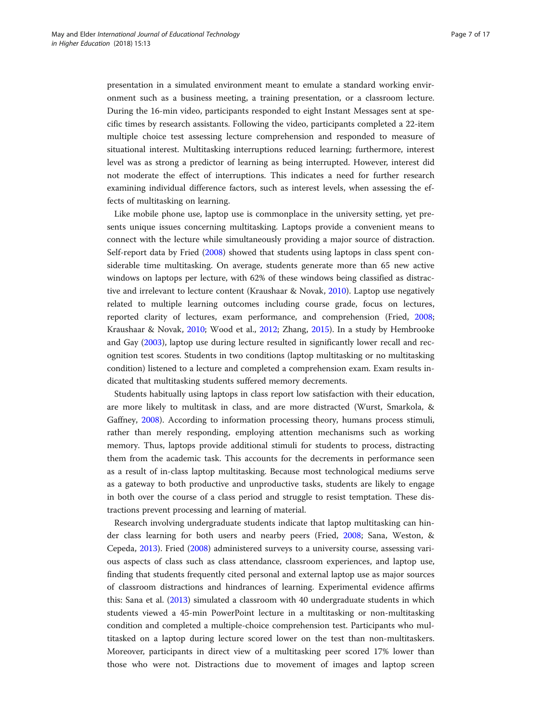presentation in a simulated environment meant to emulate a standard working environment such as a business meeting, a training presentation, or a classroom lecture. During the 16-min video, participants responded to eight Instant Messages sent at specific times by research assistants. Following the video, participants completed a 22-item multiple choice test assessing lecture comprehension and responded to measure of situational interest. Multitasking interruptions reduced learning; furthermore, interest level was as strong a predictor of learning as being interrupted. However, interest did not moderate the effect of interruptions. This indicates a need for further research examining individual difference factors, such as interest levels, when assessing the effects of multitasking on learning.

Like mobile phone use, laptop use is commonplace in the university setting, yet presents unique issues concerning multitasking. Laptops provide a convenient means to connect with the lecture while simultaneously providing a major source of distraction. Self-report data by Fried [\(2008\)](#page-15-0) showed that students using laptops in class spent considerable time multitasking. On average, students generate more than 65 new active windows on laptops per lecture, with 62% of these windows being classified as distractive and irrelevant to lecture content (Kraushaar & Novak, [2010\)](#page-16-0). Laptop use negatively related to multiple learning outcomes including course grade, focus on lectures, reported clarity of lectures, exam performance, and comprehension (Fried, [2008](#page-15-0); Kraushaar & Novak, [2010](#page-16-0); Wood et al., [2012;](#page-17-0) Zhang, [2015\)](#page-17-0). In a study by Hembrooke and Gay [\(2003\)](#page-16-0), laptop use during lecture resulted in significantly lower recall and recognition test scores. Students in two conditions (laptop multitasking or no multitasking condition) listened to a lecture and completed a comprehension exam. Exam results indicated that multitasking students suffered memory decrements.

Students habitually using laptops in class report low satisfaction with their education, are more likely to multitask in class, and are more distracted (Wurst, Smarkola, & Gaffney, [2008](#page-17-0)). According to information processing theory, humans process stimuli, rather than merely responding, employing attention mechanisms such as working memory. Thus, laptops provide additional stimuli for students to process, distracting them from the academic task. This accounts for the decrements in performance seen as a result of in-class laptop multitasking. Because most technological mediums serve as a gateway to both productive and unproductive tasks, students are likely to engage in both over the course of a class period and struggle to resist temptation. These distractions prevent processing and learning of material.

Research involving undergraduate students indicate that laptop multitasking can hinder class learning for both users and nearby peers (Fried, [2008](#page-15-0); Sana, Weston, & Cepeda, [2013](#page-16-0)). Fried [\(2008\)](#page-15-0) administered surveys to a university course, assessing various aspects of class such as class attendance, classroom experiences, and laptop use, finding that students frequently cited personal and external laptop use as major sources of classroom distractions and hindrances of learning. Experimental evidence affirms this: Sana et al. ([2013](#page-16-0)) simulated a classroom with 40 undergraduate students in which students viewed a 45-min PowerPoint lecture in a multitasking or non-multitasking condition and completed a multiple-choice comprehension test. Participants who multitasked on a laptop during lecture scored lower on the test than non-multitaskers. Moreover, participants in direct view of a multitasking peer scored 17% lower than those who were not. Distractions due to movement of images and laptop screen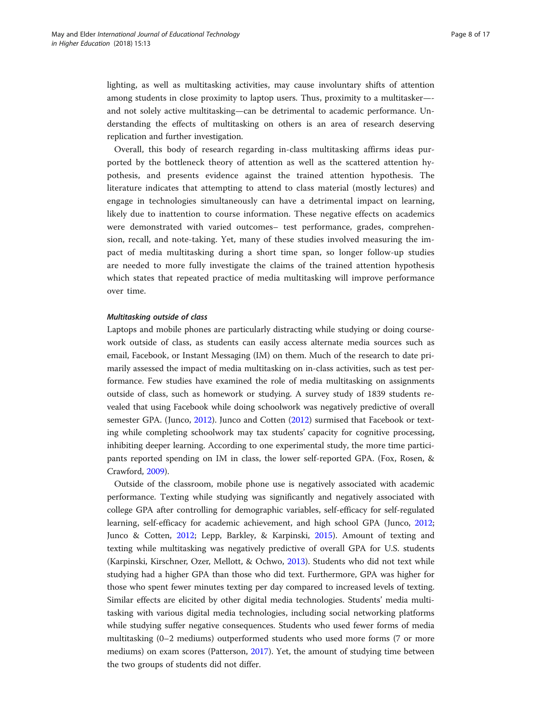lighting, as well as multitasking activities, may cause involuntary shifts of attention among students in close proximity to laptop users. Thus, proximity to a multitasker— and not solely active multitasking—can be detrimental to academic performance. Understanding the effects of multitasking on others is an area of research deserving replication and further investigation.

Overall, this body of research regarding in-class multitasking affirms ideas purported by the bottleneck theory of attention as well as the scattered attention hypothesis, and presents evidence against the trained attention hypothesis. The literature indicates that attempting to attend to class material (mostly lectures) and engage in technologies simultaneously can have a detrimental impact on learning, likely due to inattention to course information. These negative effects on academics were demonstrated with varied outcomes– test performance, grades, comprehension, recall, and note-taking. Yet, many of these studies involved measuring the impact of media multitasking during a short time span, so longer follow-up studies are needed to more fully investigate the claims of the trained attention hypothesis which states that repeated practice of media multitasking will improve performance over time.

## Multitasking outside of class

Laptops and mobile phones are particularly distracting while studying or doing coursework outside of class, as students can easily access alternate media sources such as email, Facebook, or Instant Messaging (IM) on them. Much of the research to date primarily assessed the impact of media multitasking on in-class activities, such as test performance. Few studies have examined the role of media multitasking on assignments outside of class, such as homework or studying. A survey study of 1839 students revealed that using Facebook while doing schoolwork was negatively predictive of overall semester GPA. (Junco, [2012\)](#page-16-0). Junco and Cotten [\(2012\)](#page-16-0) surmised that Facebook or texting while completing schoolwork may tax students' capacity for cognitive processing, inhibiting deeper learning. According to one experimental study, the more time participants reported spending on IM in class, the lower self-reported GPA. (Fox, Rosen, & Crawford, [2009\)](#page-15-0).

Outside of the classroom, mobile phone use is negatively associated with academic performance. Texting while studying was significantly and negatively associated with college GPA after controlling for demographic variables, self-efficacy for self-regulated learning, self-efficacy for academic achievement, and high school GPA (Junco, [2012](#page-16-0); Junco & Cotten, [2012;](#page-16-0) Lepp, Barkley, & Karpinski, [2015\)](#page-16-0). Amount of texting and texting while multitasking was negatively predictive of overall GPA for U.S. students (Karpinski, Kirschner, Ozer, Mellott, & Ochwo, [2013](#page-16-0)). Students who did not text while studying had a higher GPA than those who did text. Furthermore, GPA was higher for those who spent fewer minutes texting per day compared to increased levels of texting. Similar effects are elicited by other digital media technologies. Students' media multitasking with various digital media technologies, including social networking platforms while studying suffer negative consequences. Students who used fewer forms of media multitasking (0–2 mediums) outperformed students who used more forms (7 or more mediums) on exam scores (Patterson, [2017](#page-16-0)). Yet, the amount of studying time between the two groups of students did not differ.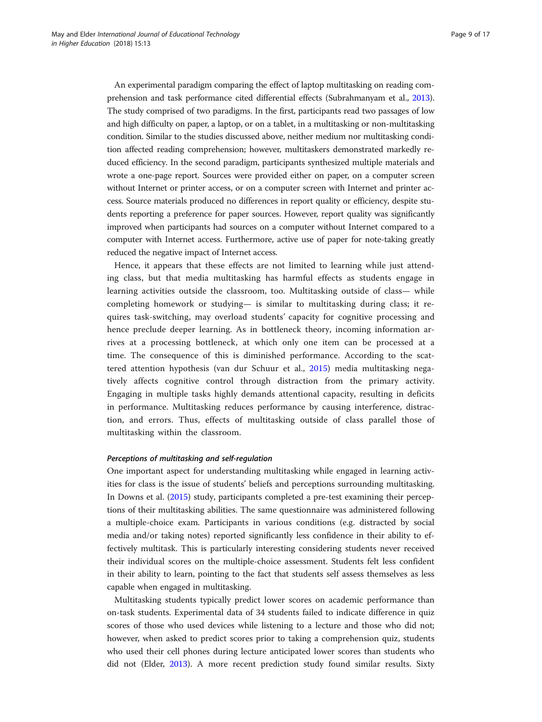An experimental paradigm comparing the effect of laptop multitasking on reading comprehension and task performance cited differential effects (Subrahmanyam et al., [2013](#page-16-0)). The study comprised of two paradigms. In the first, participants read two passages of low and high difficulty on paper, a laptop, or on a tablet, in a multitasking or non-multitasking condition. Similar to the studies discussed above, neither medium nor multitasking condition affected reading comprehension; however, multitaskers demonstrated markedly reduced efficiency. In the second paradigm, participants synthesized multiple materials and wrote a one-page report. Sources were provided either on paper, on a computer screen without Internet or printer access, or on a computer screen with Internet and printer access. Source materials produced no differences in report quality or efficiency, despite students reporting a preference for paper sources. However, report quality was significantly improved when participants had sources on a computer without Internet compared to a computer with Internet access. Furthermore, active use of paper for note-taking greatly reduced the negative impact of Internet access.

Hence, it appears that these effects are not limited to learning while just attending class, but that media multitasking has harmful effects as students engage in learning activities outside the classroom, too. Multitasking outside of class— while completing homework or studying— is similar to multitasking during class; it requires task-switching, may overload students' capacity for cognitive processing and hence preclude deeper learning. As in bottleneck theory, incoming information arrives at a processing bottleneck, at which only one item can be processed at a time. The consequence of this is diminished performance. According to the scattered attention hypothesis (van dur Schuur et al., [2015](#page-16-0)) media multitasking negatively affects cognitive control through distraction from the primary activity. Engaging in multiple tasks highly demands attentional capacity, resulting in deficits in performance. Multitasking reduces performance by causing interference, distraction, and errors. Thus, effects of multitasking outside of class parallel those of multitasking within the classroom.

### Perceptions of multitasking and self-regulation

One important aspect for understanding multitasking while engaged in learning activities for class is the issue of students' beliefs and perceptions surrounding multitasking. In Downs et al. ([2015\)](#page-15-0) study, participants completed a pre-test examining their perceptions of their multitasking abilities. The same questionnaire was administered following a multiple-choice exam. Participants in various conditions (e.g. distracted by social media and/or taking notes) reported significantly less confidence in their ability to effectively multitask. This is particularly interesting considering students never received their individual scores on the multiple-choice assessment. Students felt less confident in their ability to learn, pointing to the fact that students self assess themselves as less capable when engaged in multitasking.

Multitasking students typically predict lower scores on academic performance than on-task students. Experimental data of 34 students failed to indicate difference in quiz scores of those who used devices while listening to a lecture and those who did not; however, when asked to predict scores prior to taking a comprehension quiz, students who used their cell phones during lecture anticipated lower scores than students who did not (Elder, [2013](#page-15-0)). A more recent prediction study found similar results. Sixty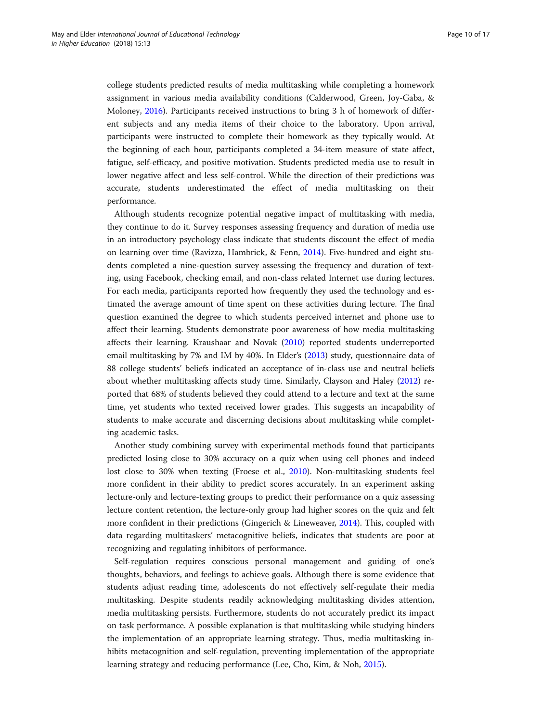college students predicted results of media multitasking while completing a homework assignment in various media availability conditions (Calderwood, Green, Joy-Gaba, & Moloney, [2016\)](#page-15-0). Participants received instructions to bring 3 h of homework of different subjects and any media items of their choice to the laboratory. Upon arrival, participants were instructed to complete their homework as they typically would. At the beginning of each hour, participants completed a 34-item measure of state affect, fatigue, self-efficacy, and positive motivation. Students predicted media use to result in lower negative affect and less self-control. While the direction of their predictions was accurate, students underestimated the effect of media multitasking on their performance.

Although students recognize potential negative impact of multitasking with media, they continue to do it. Survey responses assessing frequency and duration of media use in an introductory psychology class indicate that students discount the effect of media on learning over time (Ravizza, Hambrick, & Fenn, [2014\)](#page-16-0). Five-hundred and eight students completed a nine-question survey assessing the frequency and duration of texting, using Facebook, checking email, and non-class related Internet use during lectures. For each media, participants reported how frequently they used the technology and estimated the average amount of time spent on these activities during lecture. The final question examined the degree to which students perceived internet and phone use to affect their learning. Students demonstrate poor awareness of how media multitasking affects their learning. Kraushaar and Novak ([2010](#page-16-0)) reported students underreported email multitasking by 7% and IM by 40%. In Elder's ([2013](#page-15-0)) study, questionnaire data of 88 college students' beliefs indicated an acceptance of in-class use and neutral beliefs about whether multitasking affects study time. Similarly, Clayson and Haley ([2012](#page-15-0)) reported that 68% of students believed they could attend to a lecture and text at the same time, yet students who texted received lower grades. This suggests an incapability of students to make accurate and discerning decisions about multitasking while completing academic tasks.

Another study combining survey with experimental methods found that participants predicted losing close to 30% accuracy on a quiz when using cell phones and indeed lost close to 30% when texting (Froese et al., [2010](#page-15-0)). Non-multitasking students feel more confident in their ability to predict scores accurately. In an experiment asking lecture-only and lecture-texting groups to predict their performance on a quiz assessing lecture content retention, the lecture-only group had higher scores on the quiz and felt more confident in their predictions (Gingerich & Lineweaver, [2014\)](#page-16-0). This, coupled with data regarding multitaskers' metacognitive beliefs, indicates that students are poor at recognizing and regulating inhibitors of performance.

Self-regulation requires conscious personal management and guiding of one's thoughts, behaviors, and feelings to achieve goals. Although there is some evidence that students adjust reading time, adolescents do not effectively self-regulate their media multitasking. Despite students readily acknowledging multitasking divides attention, media multitasking persists. Furthermore, students do not accurately predict its impact on task performance. A possible explanation is that multitasking while studying hinders the implementation of an appropriate learning strategy. Thus, media multitasking inhibits metacognition and self-regulation, preventing implementation of the appropriate learning strategy and reducing performance (Lee, Cho, Kim, & Noh, [2015](#page-16-0)).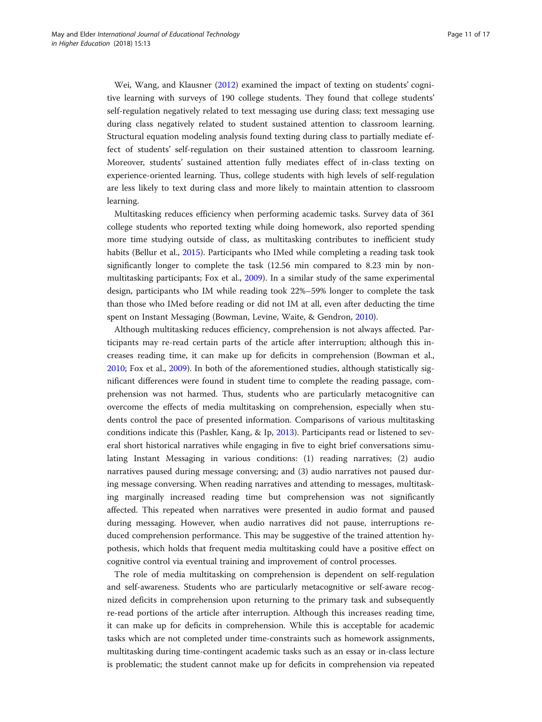Wei, Wang, and Klausner [\(2012\)](#page-17-0) examined the impact of texting on students' cognitive learning with surveys of 190 college students. They found that college students' self-regulation negatively related to text messaging use during class; text messaging use during class negatively related to student sustained attention to classroom learning. Structural equation modeling analysis found texting during class to partially mediate effect of students' self-regulation on their sustained attention to classroom learning. Moreover, students' sustained attention fully mediates effect of in-class texting on experience-oriented learning. Thus, college students with high levels of self-regulation are less likely to text during class and more likely to maintain attention to classroom learning.

Multitasking reduces efficiency when performing academic tasks. Survey data of 361 college students who reported texting while doing homework, also reported spending more time studying outside of class, as multitasking contributes to inefficient study habits (Bellur et al., [2015](#page-15-0)). Participants who IMed while completing a reading task took significantly longer to complete the task (12.56 min compared to 8.23 min by nonmultitasking participants; Fox et al., [2009\)](#page-15-0). In a similar study of the same experimental design, participants who IM while reading took 22%–59% longer to complete the task than those who IMed before reading or did not IM at all, even after deducting the time spent on Instant Messaging (Bowman, Levine, Waite, & Gendron, [2010](#page-15-0)).

Although multitasking reduces efficiency, comprehension is not always affected. Participants may re-read certain parts of the article after interruption; although this increases reading time, it can make up for deficits in comprehension (Bowman et al., [2010](#page-15-0); Fox et al., [2009](#page-15-0)). In both of the aforementioned studies, although statistically significant differences were found in student time to complete the reading passage, comprehension was not harmed. Thus, students who are particularly metacognitive can overcome the effects of media multitasking on comprehension, especially when students control the pace of presented information. Comparisons of various multitasking conditions indicate this (Pashler, Kang, & Ip, [2013](#page-16-0)). Participants read or listened to several short historical narratives while engaging in five to eight brief conversations simulating Instant Messaging in various conditions: (1) reading narratives; (2) audio narratives paused during message conversing; and (3) audio narratives not paused during message conversing. When reading narratives and attending to messages, multitasking marginally increased reading time but comprehension was not significantly affected. This repeated when narratives were presented in audio format and paused during messaging. However, when audio narratives did not pause, interruptions reduced comprehension performance. This may be suggestive of the trained attention hypothesis, which holds that frequent media multitasking could have a positive effect on cognitive control via eventual training and improvement of control processes.

The role of media multitasking on comprehension is dependent on self-regulation and self-awareness. Students who are particularly metacognitive or self-aware recognized deficits in comprehension upon returning to the primary task and subsequently re-read portions of the article after interruption. Although this increases reading time, it can make up for deficits in comprehension. While this is acceptable for academic tasks which are not completed under time-constraints such as homework assignments, multitasking during time-contingent academic tasks such as an essay or in-class lecture is problematic; the student cannot make up for deficits in comprehension via repeated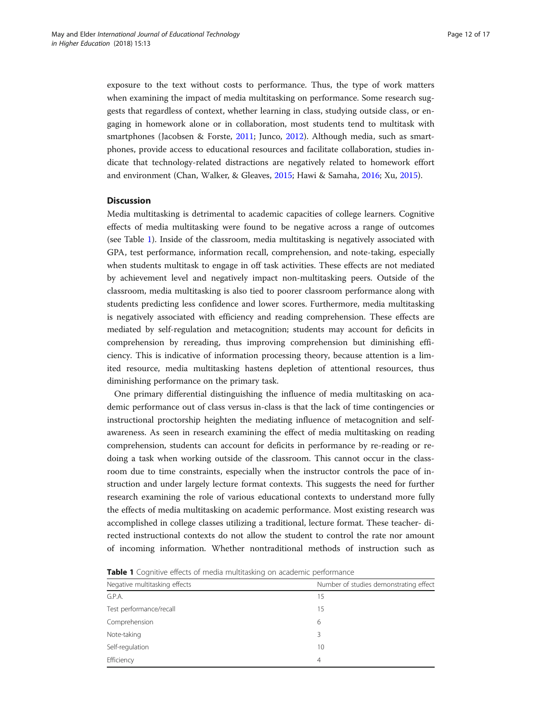exposure to the text without costs to performance. Thus, the type of work matters when examining the impact of media multitasking on performance. Some research suggests that regardless of context, whether learning in class, studying outside class, or engaging in homework alone or in collaboration, most students tend to multitask with smartphones (Jacobsen & Forste, [2011;](#page-16-0) Junco, [2012\)](#page-16-0). Although media, such as smartphones, provide access to educational resources and facilitate collaboration, studies indicate that technology-related distractions are negatively related to homework effort and environment (Chan, Walker, & Gleaves, [2015](#page-15-0); Hawi & Samaha, [2016](#page-16-0); Xu, [2015](#page-17-0)).

## **Discussion**

Media multitasking is detrimental to academic capacities of college learners. Cognitive effects of media multitasking were found to be negative across a range of outcomes (see Table 1). Inside of the classroom, media multitasking is negatively associated with GPA, test performance, information recall, comprehension, and note-taking, especially when students multitask to engage in off task activities. These effects are not mediated by achievement level and negatively impact non-multitasking peers. Outside of the classroom, media multitasking is also tied to poorer classroom performance along with students predicting less confidence and lower scores. Furthermore, media multitasking is negatively associated with efficiency and reading comprehension. These effects are mediated by self-regulation and metacognition; students may account for deficits in comprehension by rereading, thus improving comprehension but diminishing efficiency. This is indicative of information processing theory, because attention is a limited resource, media multitasking hastens depletion of attentional resources, thus diminishing performance on the primary task.

One primary differential distinguishing the influence of media multitasking on academic performance out of class versus in-class is that the lack of time contingencies or instructional proctorship heighten the mediating influence of metacognition and selfawareness. As seen in research examining the effect of media multitasking on reading comprehension, students can account for deficits in performance by re-reading or redoing a task when working outside of the classroom. This cannot occur in the classroom due to time constraints, especially when the instructor controls the pace of instruction and under largely lecture format contexts. This suggests the need for further research examining the role of various educational contexts to understand more fully the effects of media multitasking on academic performance. Most existing research was accomplished in college classes utilizing a traditional, lecture format. These teacher- directed instructional contexts do not allow the student to control the rate nor amount of incoming information. Whether nontraditional methods of instruction such as

| Negative multitasking effects | Number of studies demonstrating effect |
|-------------------------------|----------------------------------------|
| G.P.A.                        | 15                                     |
| Test performance/recall       | 15                                     |
| Comprehension                 | 6                                      |
| Note-taking                   | 3                                      |
| Self-regulation               | 10                                     |
| Efficiency                    | 4                                      |
|                               |                                        |

Table 1 Cognitive effects of media multitasking on academic performance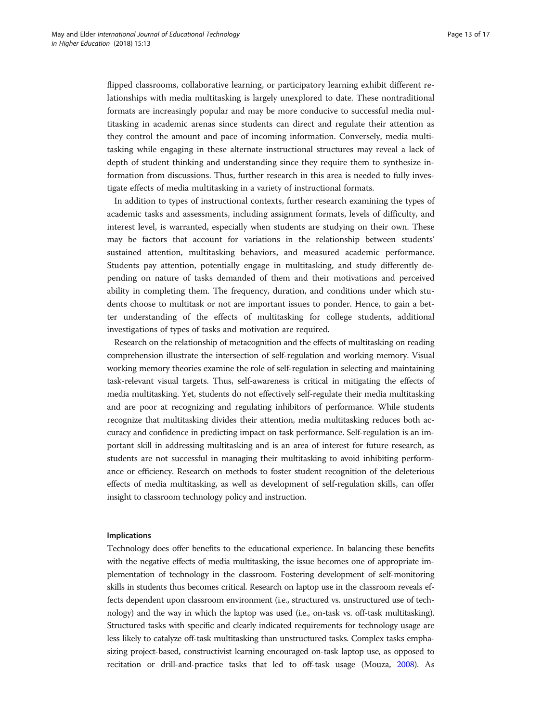flipped classrooms, collaborative learning, or participatory learning exhibit different relationships with media multitasking is largely unexplored to date. These nontraditional formats are increasingly popular and may be more conducive to successful media multitasking in academic arenas since students can direct and regulate their attention as they control the amount and pace of incoming information. Conversely, media multitasking while engaging in these alternate instructional structures may reveal a lack of depth of student thinking and understanding since they require them to synthesize information from discussions. Thus, further research in this area is needed to fully investigate effects of media multitasking in a variety of instructional formats.

In addition to types of instructional contexts, further research examining the types of academic tasks and assessments, including assignment formats, levels of difficulty, and interest level, is warranted, especially when students are studying on their own. These may be factors that account for variations in the relationship between students' sustained attention, multitasking behaviors, and measured academic performance. Students pay attention, potentially engage in multitasking, and study differently depending on nature of tasks demanded of them and their motivations and perceived ability in completing them. The frequency, duration, and conditions under which students choose to multitask or not are important issues to ponder. Hence, to gain a better understanding of the effects of multitasking for college students, additional investigations of types of tasks and motivation are required.

Research on the relationship of metacognition and the effects of multitasking on reading comprehension illustrate the intersection of self-regulation and working memory. Visual working memory theories examine the role of self-regulation in selecting and maintaining task-relevant visual targets. Thus, self-awareness is critical in mitigating the effects of media multitasking. Yet, students do not effectively self-regulate their media multitasking and are poor at recognizing and regulating inhibitors of performance. While students recognize that multitasking divides their attention, media multitasking reduces both accuracy and confidence in predicting impact on task performance. Self-regulation is an important skill in addressing multitasking and is an area of interest for future research, as students are not successful in managing their multitasking to avoid inhibiting performance or efficiency. Research on methods to foster student recognition of the deleterious effects of media multitasking, as well as development of self-regulation skills, can offer insight to classroom technology policy and instruction.

### Implications

Technology does offer benefits to the educational experience. In balancing these benefits with the negative effects of media multitasking, the issue becomes one of appropriate implementation of technology in the classroom. Fostering development of self-monitoring skills in students thus becomes critical. Research on laptop use in the classroom reveals effects dependent upon classroom environment (i.e., structured vs. unstructured use of technology) and the way in which the laptop was used (i.e., on-task vs. off-task multitasking). Structured tasks with specific and clearly indicated requirements for technology usage are less likely to catalyze off-task multitasking than unstructured tasks. Complex tasks emphasizing project-based, constructivist learning encouraged on-task laptop use, as opposed to recitation or drill-and-practice tasks that led to off-task usage (Mouza, [2008](#page-16-0)). As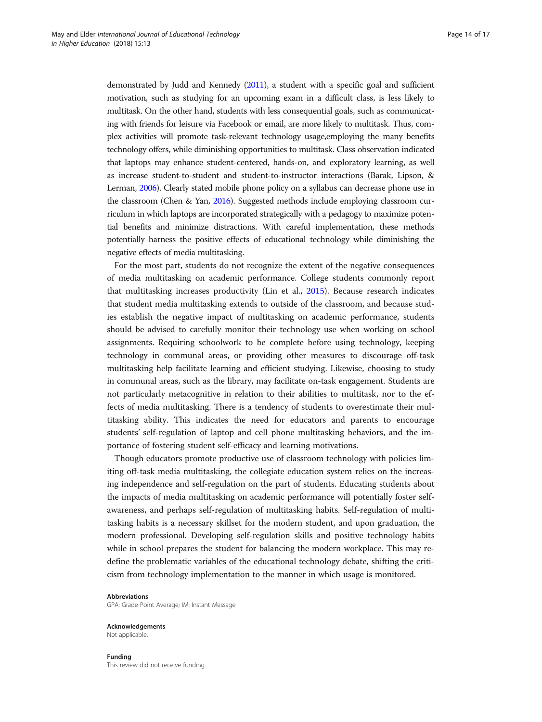demonstrated by Judd and Kennedy [\(2011](#page-16-0)), a student with a specific goal and sufficient motivation, such as studying for an upcoming exam in a difficult class, is less likely to multitask. On the other hand, students with less consequential goals, such as communicating with friends for leisure via Facebook or email, are more likely to multitask. Thus, complex activities will promote task-relevant technology usage,employing the many benefits technology offers, while diminishing opportunities to multitask. Class observation indicated that laptops may enhance student-centered, hands-on, and exploratory learning, as well as increase student-to-student and student-to-instructor interactions (Barak, Lipson, & Lerman, [2006](#page-15-0)). Clearly stated mobile phone policy on a syllabus can decrease phone use in the classroom (Chen & Yan, [2016](#page-15-0)). Suggested methods include employing classroom curriculum in which laptops are incorporated strategically with a pedagogy to maximize potential benefits and minimize distractions. With careful implementation, these methods potentially harness the positive effects of educational technology while diminishing the negative effects of media multitasking.

For the most part, students do not recognize the extent of the negative consequences of media multitasking on academic performance. College students commonly report that multitasking increases productivity (Lin et al., [2015\)](#page-16-0). Because research indicates that student media multitasking extends to outside of the classroom, and because studies establish the negative impact of multitasking on academic performance, students should be advised to carefully monitor their technology use when working on school assignments. Requiring schoolwork to be complete before using technology, keeping technology in communal areas, or providing other measures to discourage off-task multitasking help facilitate learning and efficient studying. Likewise, choosing to study in communal areas, such as the library, may facilitate on-task engagement. Students are not particularly metacognitive in relation to their abilities to multitask, nor to the effects of media multitasking. There is a tendency of students to overestimate their multitasking ability. This indicates the need for educators and parents to encourage students' self-regulation of laptop and cell phone multitasking behaviors, and the importance of fostering student self-efficacy and learning motivations.

Though educators promote productive use of classroom technology with policies limiting off-task media multitasking, the collegiate education system relies on the increasing independence and self-regulation on the part of students. Educating students about the impacts of media multitasking on academic performance will potentially foster selfawareness, and perhaps self-regulation of multitasking habits. Self-regulation of multitasking habits is a necessary skillset for the modern student, and upon graduation, the modern professional. Developing self-regulation skills and positive technology habits while in school prepares the student for balancing the modern workplace. This may redefine the problematic variables of the educational technology debate, shifting the criticism from technology implementation to the manner in which usage is monitored.

#### Abbreviations

GPA: Grade Point Average; IM: Instant Message

Acknowledgements Not applicable.

Funding This review did not receive funding.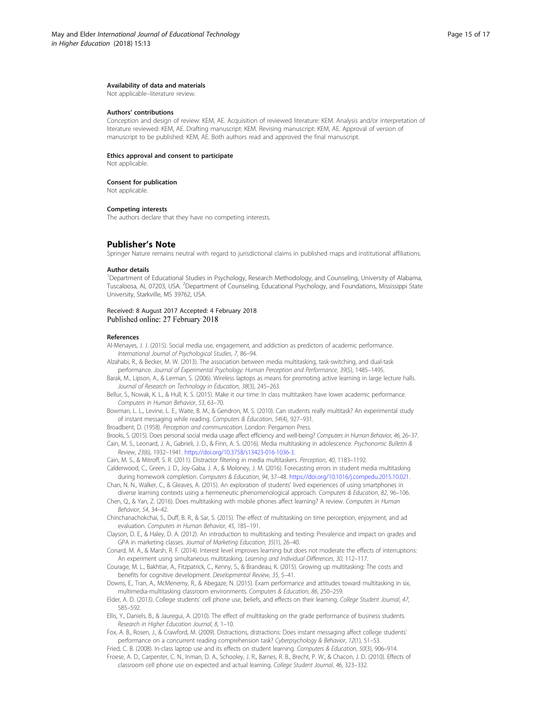<span id="page-15-0"></span>Not applicable–literature review.

#### Authors' contributions

Conception and design of review: KEM, AE. Acquisition of reviewed literature: KEM. Analysis and/or interpretation of literature reviewed: KEM, AE. Drafting manuscript: KEM. Revising manuscript: KEM, AE. Approval of version of manuscript to be published: KEM, AE. Both authors read and approved the final manuscript.

#### Ethics approval and consent to participate

Not applicable.

#### Consent for publication

Not applicable.

#### Competing interests

The authors declare that they have no competing interests.

#### Publisher's Note

Springer Nature remains neutral with regard to jurisdictional claims in published maps and institutional affiliations.

#### Author details

<sup>1</sup>Department of Educational Studies in Psychology, Research Methodology, and Counseling, University of Alabama, Tuscaloosa, AL 07203, USA. <sup>2</sup>Department of Counseling, Educational Psychology, and Foundations, Mississippi State University, Starkville, MS 39762, USA.

#### Received: 8 August 2017 Accepted: 4 February 2018 Published online: 27 February 2018

#### References

Al-Menayes, J. J. (2015). Social media use, engagement, and addiction as predictors of academic performance. International Journal of Psychological Studies, 7, 86–94.

Alzahabi, R., & Becker, M. W. (2013). The association between media multitasking, task-switching, and dual-task performance. Journal of Experimental Psychology: Human Perception and Performance, 39(5), 1485–1495.

Barak, M., Lipson, A., & Lerman, S. (2006). Wireless laptops as means for promoting active learning in large lecture halls. Journal of Research on Technology in Education, 38(3), 245–263.

Bellur, S., Nowak, K. L., & Hull, K. S. (2015). Make it our time: In class multitaskers have lower academic performance. Computers in Human Behavior, 53, 63–70.

Bowman, L. L., Levine, L. E., Waite, B. M., & Gendron, M. S. (2010). Can students really multitask? An experimental study of instant messaging while reading. Computers & Education, 54(4), 927–931.

Broadbent, D. (1958). Perception and communication. London: Pergamon Press.

Brooks, S. (2015). Does personal social media usage affect efficiency and well-being? Computers in Human Behavior, 46, 26–37. Cain, M. S., Leonard, J. A., Gabrieli, J. D., & Finn, A. S. (2016). Media multitasking in adolescence. Psychonomic Bulletin & Review, 23(6), 1932–1941. <https://doi.org/10.3758/s13423-016-1036-3>.

Cain, M. S., & Mitroff, S. R. (2011). Distractor filtering in media multitaskers. Perception, 40, 1183–1192.

- Calderwood, C., Green, J. D., Joy-Gaba, J. A., & Moloney, J. M. (2016). Forecasting errors in student media multitasking during homework completion. Computers & Education, 94, 37–48. [https://doi.org/10.1016/j.compedu.2015.10.021.](https://doi.org/10.1016/j.compedu.2015.10.021)
- Chan, N. N., Walker, C., & Gleaves, A. (2015). An exploration of students' lived experiences of using smartphones in diverse learning contexts using a hermeneutic phenomenological approach. Computers & Education, 82, 96-106.
- Chen, Q., & Yan, Z. (2016). Does multitasking with mobile phones affect learning? A review. Computers in Human Behavior, 54, 34–42.
- Chinchanachokchai, S., Duff, B. R., & Sar, S. (2015). The effect of multitasking on time perception, enjoyment, and ad evaluation. Computers in Human Behavior, 45, 185–191.
- Clayson, D. E., & Haley, D. A. (2012). An introduction to multitasking and texting: Prevalence and impact on grades and GPA in marketing classes. Journal of Marketing Education, 35(1), 26–40.
- Conard, M. A., & Marsh, R. F. (2014). Interest level improves learning but does not moderate the effects of interruptions: An experiment using simultaneous multitasking. Learning and Individual Differences, 30, 112-117.
- Courage, M. L., Bakhtiar, A., Fitzpatrick, C., Kenny, S., & Brandeau, K. (2015). Growing up multitasking: The costs and benefits for cognitive development. Developmental Review, 35, 5–41.
- Downs, E., Tran, A., McMenemy, R., & Abegaze, N. (2015). Exam performance and attitudes toward multitasking in six, multimedia-multitasking classroom environments. Computers & Education, 86, 250–259.
- Elder, A. D. (2013). College students' cell phone use, beliefs, and effects on their learning. College Student Journal, 47, 585–592.
- Ellis, Y., Daniels, B., & Jauregui, A. (2010). The effect of multitasking on the grade performance of business students. Research in Higher Education Journal, 8, 1–10.
- Fox, A. B., Rosen, J., & Crawford, M. (2009). Distractions, distractions: Does instant messaging affect college students' performance on a concurrent reading comprehension task? Cyberpsychology & Behavior, 12(1), 51–53.

Fried, C. B. (2008). In-class laptop use and its effects on student learning. Computers & Education, 50(3), 906–914. Froese, A. D., Carpenter, C. N., Inman, D. A., Schooley, J. R., Barnes, R. B., Brecht, P. W., & Chacon, J. D. (2010). Effects of classroom cell phone use on expected and actual learning. College Student Journal, 46, 323–332.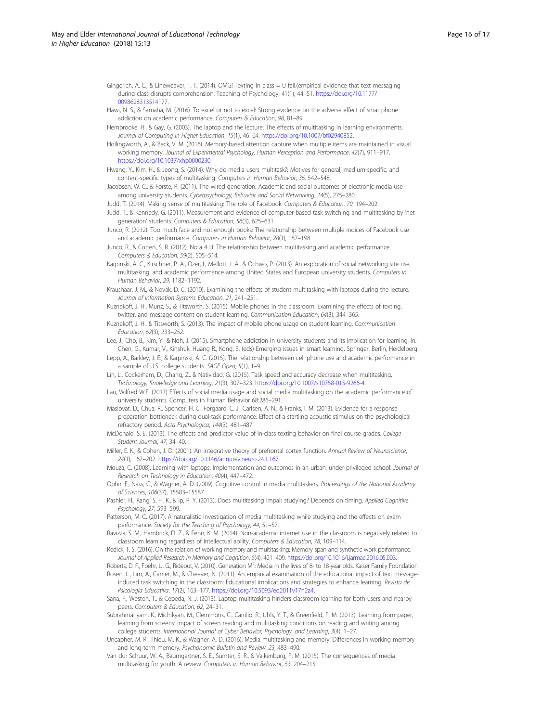- <span id="page-16-0"></span>Gingerich, A. C., & Lineweaver, T. T. (2014). OMG! Texting in class = U fail:(empirical evidence that text messaging during class disrupts comprehension. Teaching of Psychology, 41(1), 44–51. [https://doi.org/10.1177/](https://doi.org/10.1177/0098628313514177) [0098628313514177](https://doi.org/10.1177/0098628313514177).
- Hawi, N. S., & Samaha, M. (2016). To excel or not to excel: Strong evidence on the adverse effect of smartphone addiction on academic performance. Computers & Education, 98, 81–89.
- Hembrooke, H., & Gay, G. (2003). The laptop and the lecture: The effects of multitasking in learning environments. Journal of Computing in Higher Education, 15(1), 46–64. [https://doi.org/10.1007/bf02940852.](https://doi.org/10.1007/bf02940852)
- Hollingworth, A., & Beck, V. M. (2016). Memory-based attention capture when multiple items are maintained in visual working memory. Journal of Experimental Psychology: Human Perception and Performance, 42(7), 911–917. <https://doi.org/10.1037/xhp0000230>.
- Hwang, Y., Kim, H., & Jeong, S. (2014). Why do media users multitask?: Motives for general, medium-specific, and content-specific types of multitasking. Computers in Human Behavior, 36, 542–548.
- Jacobsen, W. C., & Forste, R. (2011). The wired generation: Academic and social outcomes of electronic media use among university students. Cyberpsychology, Behavior and Social Networking, 14(5), 275–280.
- Judd, T. (2014). Making sense of multitasking: The role of Facebook. Computers & Education, 70, 194-202.
- Judd, T., & Kennedy, G. (2011). Measurement and evidence of computer-based task switching and multitasking by 'net generation' students. Computers & Education, 56(3), 625–631.
- Junco, R. (2012). Too much face and not enough books: The relationship between multiple indices of Facebook use and academic performance. Computers in Human Behavior, 28(1), 187–198.
- Junco, R., & Cotten, S. R. (2012). No a 4 U: The relationship between multitasking and academic performance. Computers & Education, 59(2), 505–514.
- Karpinski, A. C., Kirschner, P. A., Ozer, I., Mellott, J. A., & Ochwo, P. (2013). An exploration of social networking site use, multitasking, and academic performance among United States and European university students. Computers in Human Behavior, 29, 1182–1192.
- Kraushaar, J. M., & Novak, D. C. (2010). Examining the effects of student multitasking with laptops during the lecture. Journal of Information Systems Education, 21, 241–251.
- Kuznekoff, J. H., Munz, S., & Titsworth, S. (2015). Mobile phones in the classroom: Examining the effects of texting, twitter, and message content on student learning. Communication Education, 64(3), 344–365.
- Kuznekoff, J. H., & Titsworth, S. (2013). The impact of mobile phone usage on student learning. Communication Education, 62(3), 233–252.
- Lee, J., Cho, B., Kim, Y., & Noh, J. (2015). Smartphone addiction in university students and its implication for learning. In: Chen, G., Kumar, V., Kinshuk, Huang R., Kong, S. (eds) Emerging issues in smart learning. Springer, Berlin, Heidelberg.
- Lepp, A., Barkley, J. E., & Karpinski, A. C. (2015). The relationship between cell phone use and academic performance in a sample of U.S. college students. SAGE Open, 5(1), 1–9.
- Lin, L., Cockerham, D., Chang, Z., & Natividad, G. (2015). Task speed and accuracy decrease when multitasking. Technology, Knowledge and Learning, 21(3), 307–323. [https://doi.org/10.1007/s10758-015-9266-4.](https://doi.org/10.1007/s10758-015-9266-4)
- Lau, Wilfred W.F. (2017) Effects of social media usage and social media multitasking on the academic performance of university students. Computers in Human Behavior 68:286–291.
- Maslovat, D., Chua, R., Spencer, H. C., Forgaard, C. J., Carlsen, A. N., & Franks, I. M. (2013). Evidence for a response preparation bottleneck during dual-task performance: Effect of a startling acoustic stimulus on the psychological refractory period. Acta Psychologica, 144(3), 481–487.
- McDonald, S. E. (2013). The effects and predictor value of in-class texting behavior on final course grades. College Student Journal, 47, 34–40.
- Miller, E. K., & Cohen, J. D. (2001). An integrative theory of prefrontal cortex function. Annual Review of Neuroscience, 24(1), 167–202. <https://doi.org/10.1146/annurev.neuro.24.1.167>.
- Mouza, C. (2008). Learning with laptops: Implementation and outcomes in an urban, under-privileged school. Journal of Research on Technology in Education, 40(4), 447–472.
- Ophir, E., Nass, C., & Wagner, A. D. (2009). Cognitive control in media multitaskers. Proceedings of the National Academy of Sciences, 106(37), 15583–15587.
- Pashler, H., Kang, S. H. K., & Ip, R. Y. (2013). Does multitasking impair studying? Depends on timing. Applied Cognitive Psychology, 27, 593–599.
- Patterson, M. C. (2017). A naturalistic investigation of media multitasking while studying and the effects on exam performance. Society for the Teaching of Psychology, 44, 51–57.
- Ravizza, S. M., Hambrick, D. Z., & Fenn, K. M. (2014). Non-academic internet use in the classroom is negatively related to classroom learning regardless of intellectual ability. Computers & Education, 78, 109–114.
- Redick, T. S. (2016). On the relation of working memory and multitasking: Memory span and synthetic work performance. Journal of Applied Research in Memory and Cognition, 5(4), 401–409. <https://doi.org/10.1016/j.jarmac.2016.05.003>.
- Roberts, D. F., Foehr, U. G., Rideout, V. (2010). Generation M<sup>2</sup>: Media in the lives of 8- to 18-year olds. Kaiser Family Foundation.
- Rosen, L., Lim, A., Carrier, M., & Cheever, N. (2011). An empirical examination of the educational impact of text messageinduced task switching in the classroom: Educational implications and strategies to enhance learning. Revista de Psicología Educativa, 17(2), 163–177. <https://doi.org/10.5093/ed2011v17n2a4>.
- Sana, F., Weston, T., & Cepeda, N. J. (2013). Laptop multitasking hinders classroom learning for both users and nearby peers. Computers & Education, 62, 24–31.
- Subrahmanyam, K., Michikyan, M., Clemmons, C., Carrillo, R., Uhls, Y. T., & Greenfield, P. M. (2013). Learning from paper, learning from screens: Impact of screen reading and multitasking conditions on reading and writing among college students. International Journal of Cyber Behavior, Psychology, and Learning, 3(4), 1–27.
- Uncapher, M. R., Thieu, M. K., & Wagner, A. D. (2016). Media multitasking and memory: Differences in working memory and long-term memory. Psychonomic Bulletin and Review, 23, 483–490.
- Van dur Schuur, W. A., Baumgartner, S. E., Sumter, S. R., & Valkenburg, P. M. (2015). The consequences of media multitasking for youth: A review. Computers in Human Behavior, 53, 204–215.